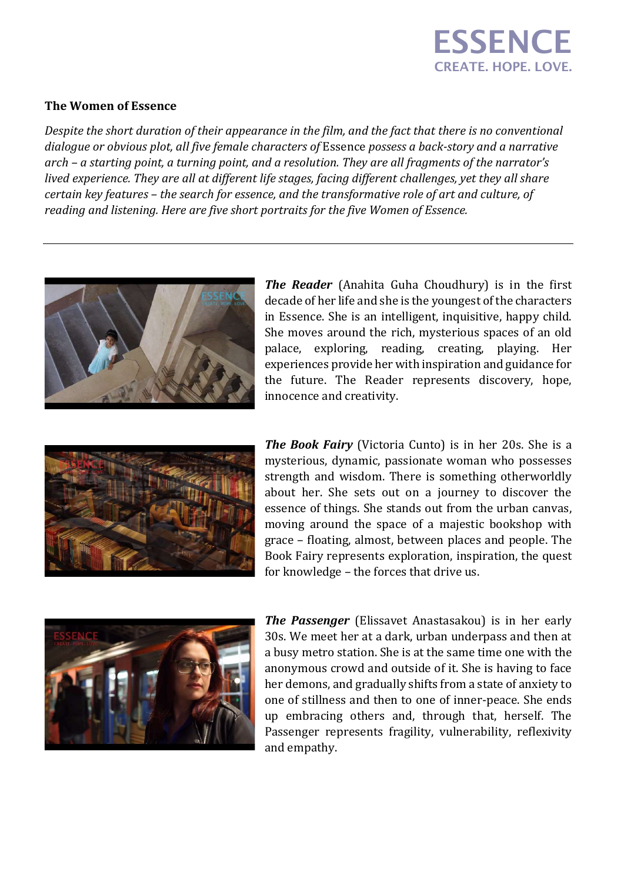

## The Women of Essence

Despite the short duration of their appearance in the film, and the fact that there is no conventional dialogue or obvious plot, all five female characters of Essence possess a back-story and a narrative arch – a starting point, a turning point, and a resolution. They are all fragments of the narrator's lived experience. They are all at different life stages, facing different challenges, yet they all share certain key features – the search for essence, and the transformative role of art and culture, of reading and listening. Here are five short portraits for the five Women of Essence.



**The Reader** (Anahita Guha Choudhury) is in the first decade of her life and she is the youngest of the characters in Essence. She is an intelligent, inquisitive, happy child. She moves around the rich, mysterious spaces of an old palace, exploring, reading, creating, playing. Her experiences provide her with inspiration and guidance for the future. The Reader represents discovery, hope, innocence and creativity.



The Book Fairy (Victoria Cunto) is in her 20s. She is a mysterious, dynamic, passionate woman who possesses strength and wisdom. There is something otherworldly about her. She sets out on a journey to discover the essence of things. She stands out from the urban canvas, moving around the space of a majestic bookshop with grace – floating, almost, between places and people. The Book Fairy represents exploration, inspiration, the quest for knowledge – the forces that drive us.



The Passenger (Elissavet Anastasakou) is in her early 30s. We meet her at a dark, urban underpass and then at a busy metro station. She is at the same time one with the anonymous crowd and outside of it. She is having to face her demons, and gradually shifts from a state of anxiety to one of stillness and then to one of inner-peace. She ends up embracing others and, through that, herself. The Passenger represents fragility, vulnerability, reflexivity and empathy.